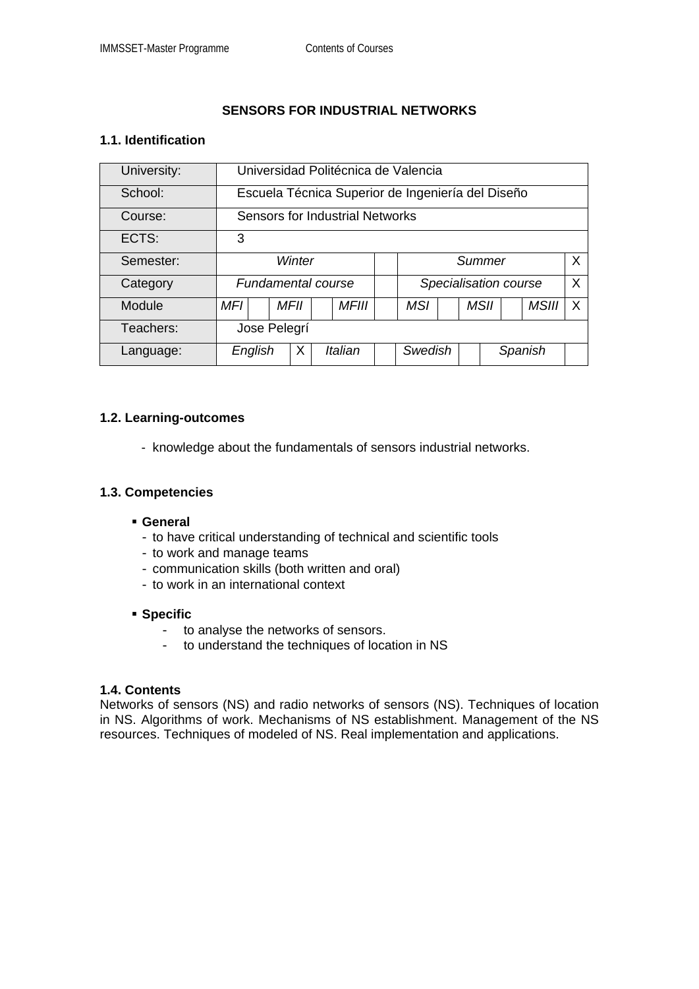## **SENSORS FOR INDUSTRIAL NETWORKS**

# **1.1. Identification**

| University: | Universidad Politécnica de Valencia               |  |             |  |              |  |                                       |  |  |             |  |              |   |
|-------------|---------------------------------------------------|--|-------------|--|--------------|--|---------------------------------------|--|--|-------------|--|--------------|---|
| School:     | Escuela Técnica Superior de Ingeniería del Diseño |  |             |  |              |  |                                       |  |  |             |  |              |   |
| Course:     | Sensors for Industrial Networks                   |  |             |  |              |  |                                       |  |  |             |  |              |   |
| ECTS:       | 3                                                 |  |             |  |              |  |                                       |  |  |             |  |              |   |
| Semester:   | Winter                                            |  |             |  |              |  | X<br>Summer                           |  |  |             |  |              |   |
| Category    | <b>Fundamental course</b>                         |  |             |  |              |  | $\mathsf{X}$<br>Specialisation course |  |  |             |  |              |   |
| Module      | MFI                                               |  | <b>MFII</b> |  | <b>MFIII</b> |  | <b>MSI</b>                            |  |  | <b>MSII</b> |  | <b>MSIII</b> | X |
| Teachers:   | Jose Pelegrí                                      |  |             |  |              |  |                                       |  |  |             |  |              |   |
| Language:   | English                                           |  | X           |  | Italian      |  | Swedish                               |  |  | Spanish     |  |              |   |

## **1.2. Learning-outcomes**

- knowledge about the fundamentals of sensors industrial networks.

## **1.3. Competencies**

## **General**

- to have critical understanding of technical and scientific tools
- to work and manage teams
- communication skills (both written and oral)
- to work in an international context

#### **Specific**

- to analyse the networks of sensors.
- to understand the techniques of location in NS

#### **1.4. Contents**

Networks of sensors (NS) and radio networks of sensors (NS). Techniques of location in NS. Algorithms of work. Mechanisms of NS establishment. Management of the NS resources. Techniques of modeled of NS. Real implementation and applications.